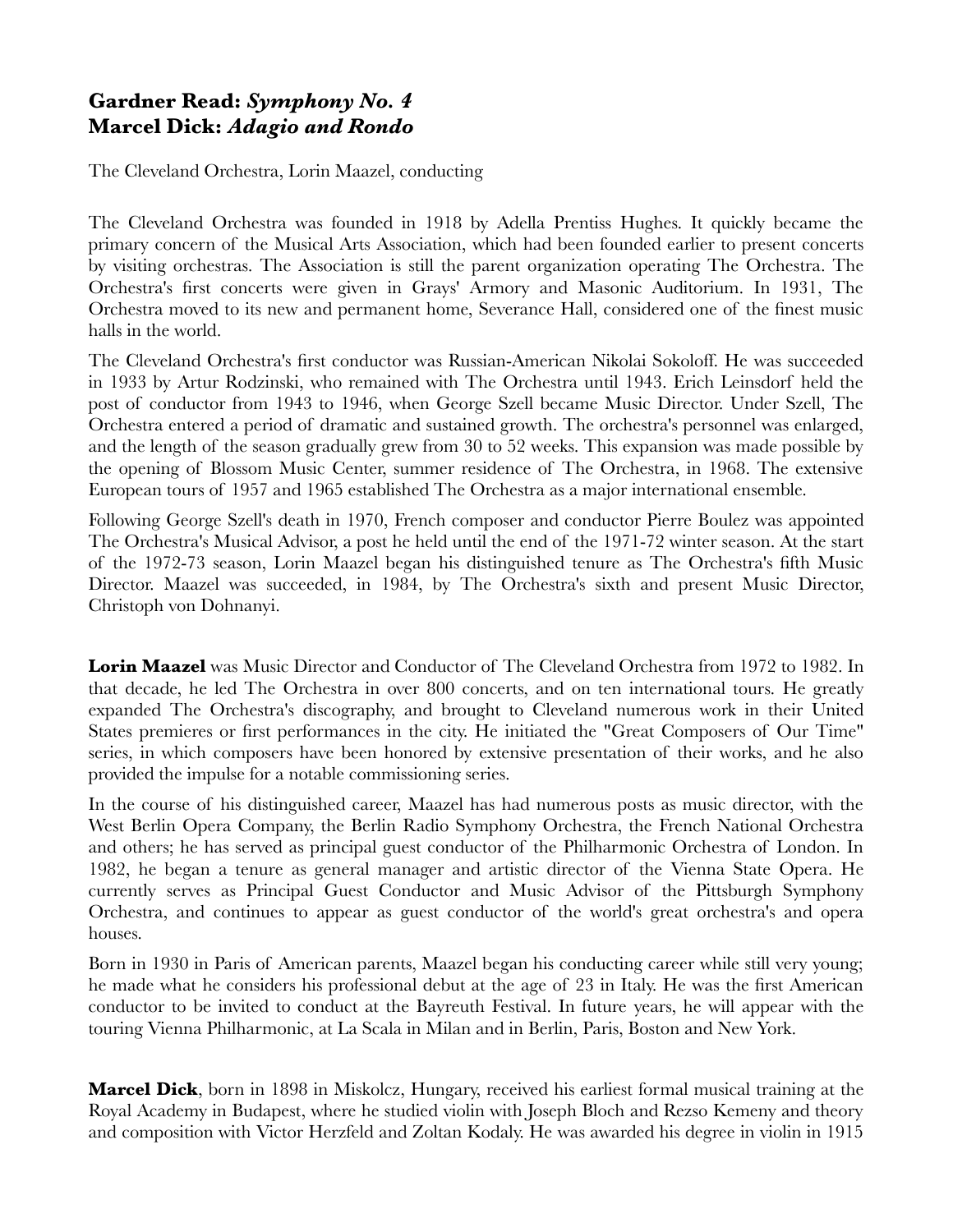## **Gardner Read:** *Symphony No. 4*  **Marcel Dick:** *Adagio and Rondo*

The Cleveland Orchestra, Lorin Maazel, conducting

The Cleveland Orchestra was founded in 1918 by Adella Prentiss Hughes. It quickly became the primary concern of the Musical Arts Association, which had been founded earlier to present concerts by visiting orchestras. The Association is still the parent organization operating The Orchestra. The Orchestra's first concerts were given in Grays' Armory and Masonic Auditorium. In 1931, The Orchestra moved to its new and permanent home, Severance Hall, considered one of the finest music halls in the world.

The Cleveland Orchestra's first conductor was Russian-American Nikolai Sokoloff. He was succeeded in 1933 by Artur Rodzinski, who remained with The Orchestra until 1943. Erich Leinsdorf held the post of conductor from 1943 to 1946, when George Szell became Music Director. Under Szell, The Orchestra entered a period of dramatic and sustained growth. The orchestra's personnel was enlarged, and the length of the season gradually grew from 30 to 52 weeks. This expansion was made possible by the opening of Blossom Music Center, summer residence of The Orchestra, in 1968. The extensive European tours of 1957 and 1965 established The Orchestra as a major international ensemble.

Following George Szell's death in 1970, French composer and conductor Pierre Boulez was appointed The Orchestra's Musical Advisor, a post he held until the end of the 1971-72 winter season. At the start of the 1972-73 season, Lorin Maazel began his distinguished tenure as The Orchestra's fifth Music Director. Maazel was succeeded, in 1984, by The Orchestra's sixth and present Music Director, Christoph von Dohnanyi.

**Lorin Maazel** was Music Director and Conductor of The Cleveland Orchestra from 1972 to 1982. In that decade, he led The Orchestra in over 800 concerts, and on ten international tours. He greatly expanded The Orchestra's discography, and brought to Cleveland numerous work in their United States premieres or first performances in the city. He initiated the "Great Composers of Our Time" series, in which composers have been honored by extensive presentation of their works, and he also provided the impulse for a notable commissioning series.

In the course of his distinguished career, Maazel has had numerous posts as music director, with the West Berlin Opera Company, the Berlin Radio Symphony Orchestra, the French National Orchestra and others; he has served as principal guest conductor of the Philharmonic Orchestra of London. In 1982, he began a tenure as general manager and artistic director of the Vienna State Opera. He currently serves as Principal Guest Conductor and Music Advisor of the Pittsburgh Symphony Orchestra, and continues to appear as guest conductor of the world's great orchestra's and opera houses.

Born in 1930 in Paris of American parents, Maazel began his conducting career while still very young; he made what he considers his professional debut at the age of 23 in Italy. He was the first American conductor to be invited to conduct at the Bayreuth Festival. In future years, he will appear with the touring Vienna Philharmonic, at La Scala in Milan and in Berlin, Paris, Boston and New York.

**Marcel Dick**, born in 1898 in Miskolcz, Hungary, received his earliest formal musical training at the Royal Academy in Budapest, where he studied violin with Joseph Bloch and Rezso Kemeny and theory and composition with Victor Herzfeld and Zoltan Kodaly. He was awarded his degree in violin in 1915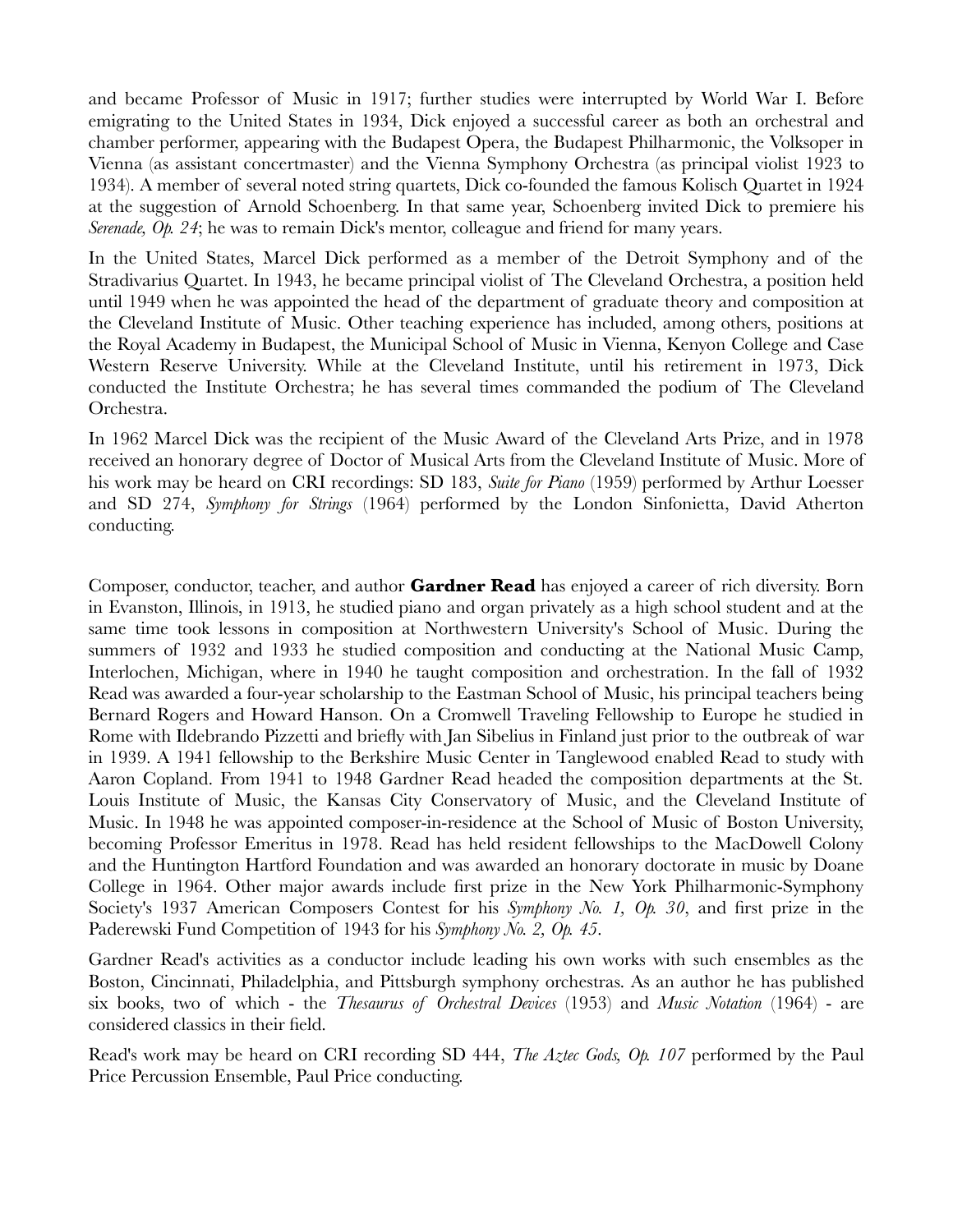and became Professor of Music in 1917; further studies were interrupted by World War I. Before emigrating to the United States in 1934, Dick enjoyed a successful career as both an orchestral and chamber performer, appearing with the Budapest Opera, the Budapest Philharmonic, the Volksoper in Vienna (as assistant concertmaster) and the Vienna Symphony Orchestra (as principal violist 1923 to 1934). A member of several noted string quartets, Dick co-founded the famous Kolisch Quartet in 1924 at the suggestion of Arnold Schoenberg. In that same year, Schoenberg invited Dick to premiere his *Serenade, Op. 24*; he was to remain Dick's mentor, colleague and friend for many years.

In the United States, Marcel Dick performed as a member of the Detroit Symphony and of the Stradivarius Quartet. In 1943, he became principal violist of The Cleveland Orchestra, a position held until 1949 when he was appointed the head of the department of graduate theory and composition at the Cleveland Institute of Music. Other teaching experience has included, among others, positions at the Royal Academy in Budapest, the Municipal School of Music in Vienna, Kenyon College and Case Western Reserve University. While at the Cleveland Institute, until his retirement in 1973, Dick conducted the Institute Orchestra; he has several times commanded the podium of The Cleveland Orchestra.

In 1962 Marcel Dick was the recipient of the Music Award of the Cleveland Arts Prize, and in 1978 received an honorary degree of Doctor of Musical Arts from the Cleveland Institute of Music. More of his work may be heard on CRI recordings: SD 183, *Suite for Piano* (1959) performed by Arthur Loesser and SD 274, *Symphony for Strings* (1964) performed by the London Sinfonietta, David Atherton conducting.

Composer, conductor, teacher, and author **Gardner Read** has enjoyed a career of rich diversity. Born in Evanston, Illinois, in 1913, he studied piano and organ privately as a high school student and at the same time took lessons in composition at Northwestern University's School of Music. During the summers of 1932 and 1933 he studied composition and conducting at the National Music Camp, Interlochen, Michigan, where in 1940 he taught composition and orchestration. In the fall of 1932 Read was awarded a four-year scholarship to the Eastman School of Music, his principal teachers being Bernard Rogers and Howard Hanson. On a Cromwell Traveling Fellowship to Europe he studied in Rome with Ildebrando Pizzetti and briefly with Jan Sibelius in Finland just prior to the outbreak of war in 1939. A 1941 fellowship to the Berkshire Music Center in Tanglewood enabled Read to study with Aaron Copland. From 1941 to 1948 Gardner Read headed the composition departments at the St. Louis Institute of Music, the Kansas City Conservatory of Music, and the Cleveland Institute of Music. In 1948 he was appointed composer-in-residence at the School of Music of Boston University, becoming Professor Emeritus in 1978. Read has held resident fellowships to the MacDowell Colony and the Huntington Hartford Foundation and was awarded an honorary doctorate in music by Doane College in 1964. Other major awards include first prize in the New York Philharmonic-Symphony Society's 1937 American Composers Contest for his *Symphony No. 1, Op. 30*, and first prize in the Paderewski Fund Competition of 1943 for his *Symphony No. 2, Op. 45*.

Gardner Read's activities as a conductor include leading his own works with such ensembles as the Boston, Cincinnati, Philadelphia, and Pittsburgh symphony orchestras. As an author he has published six books, two of which - the *Thesaurus of Orchestral Devices* (1953) and *Music Notation* (1964) - are considered classics in their field.

Read's work may be heard on CRI recording SD 444, *The Aztec Gods, Op. 107* performed by the Paul Price Percussion Ensemble, Paul Price conducting.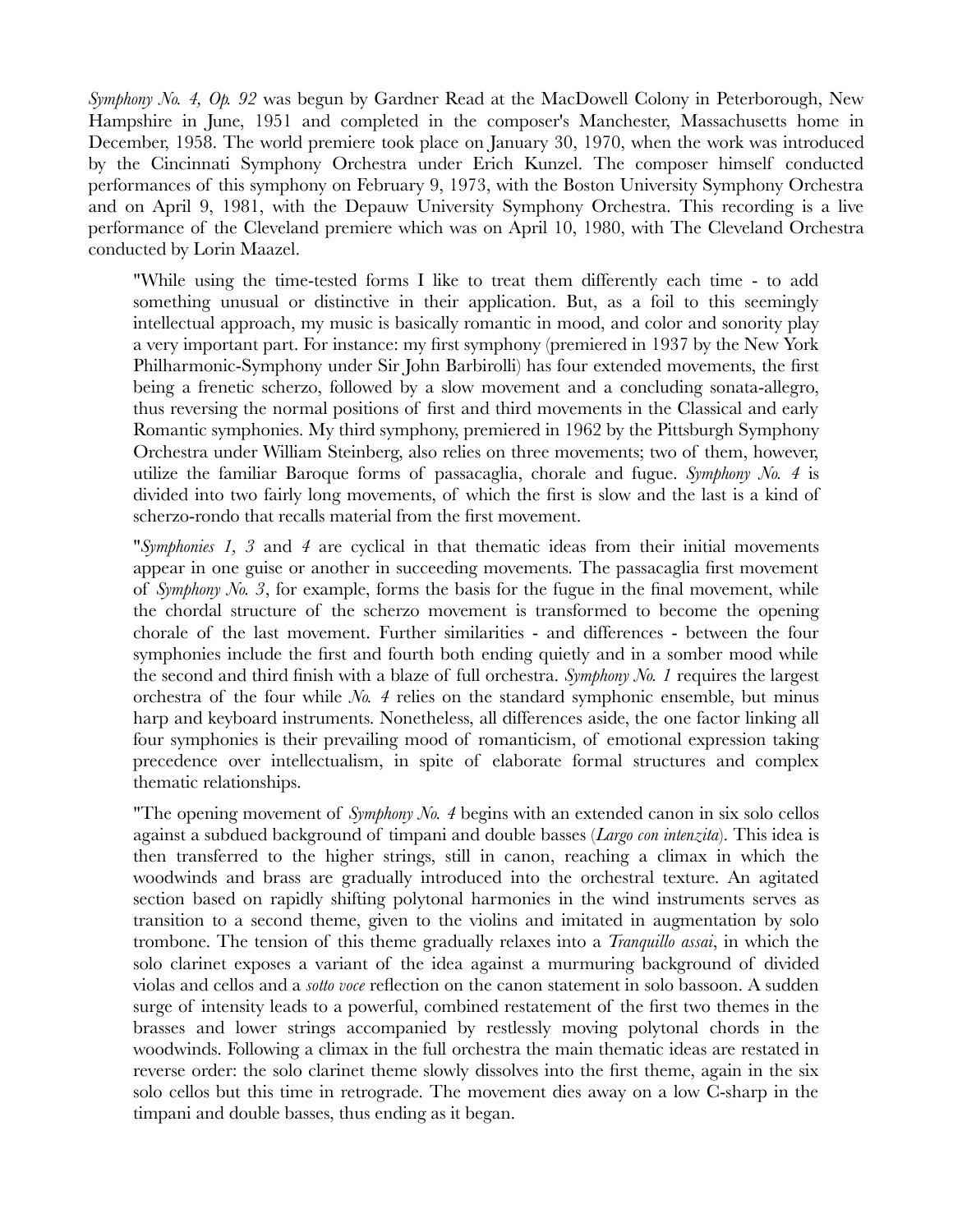*Symphony No. 4, Op. 92* was begun by Gardner Read at the MacDowell Colony in Peterborough, New Hampshire in June, 1951 and completed in the composer's Manchester, Massachusetts home in December, 1958. The world premiere took place on January 30, 1970, when the work was introduced by the Cincinnati Symphony Orchestra under Erich Kunzel. The composer himself conducted performances of this symphony on February 9, 1973, with the Boston University Symphony Orchestra and on April 9, 1981, with the Depauw University Symphony Orchestra. This recording is a live performance of the Cleveland premiere which was on April 10, 1980, with The Cleveland Orchestra conducted by Lorin Maazel.

"While using the time-tested forms I like to treat them differently each time - to add something unusual or distinctive in their application. But, as a foil to this seemingly intellectual approach, my music is basically romantic in mood, and color and sonority play a very important part. For instance: my first symphony (premiered in 1937 by the New York Philharmonic-Symphony under Sir John Barbirolli) has four extended movements, the first being a frenetic scherzo, followed by a slow movement and a concluding sonata-allegro, thus reversing the normal positions of first and third movements in the Classical and early Romantic symphonies. My third symphony, premiered in 1962 by the Pittsburgh Symphony Orchestra under William Steinberg, also relies on three movements; two of them, however, utilize the familiar Baroque forms of passacaglia, chorale and fugue. *Symphony No. 4* is divided into two fairly long movements, of which the first is slow and the last is a kind of scherzo-rondo that recalls material from the first movement.

"*Symphonies 1, 3* and *4* are cyclical in that thematic ideas from their initial movements appear in one guise or another in succeeding movements. The passacaglia first movement of *Symphony No. 3*, for example, forms the basis for the fugue in the final movement, while the chordal structure of the scherzo movement is transformed to become the opening chorale of the last movement. Further similarities - and differences - between the four symphonies include the first and fourth both ending quietly and in a somber mood while the second and third finish with a blaze of full orchestra. *Symphony No. 1* requires the largest orchestra of the four while *No. 4* relies on the standard symphonic ensemble, but minus harp and keyboard instruments. Nonetheless, all differences aside, the one factor linking all four symphonies is their prevailing mood of romanticism, of emotional expression taking precedence over intellectualism, in spite of elaborate formal structures and complex thematic relationships.

"The opening movement of *Symphony No. 4* begins with an extended canon in six solo cellos against a subdued background of timpani and double basses (*Largo con intenzita*). This idea is then transferred to the higher strings, still in canon, reaching a climax in which the woodwinds and brass are gradually introduced into the orchestral texture. An agitated section based on rapidly shifting polytonal harmonies in the wind instruments serves as transition to a second theme, given to the violins and imitated in augmentation by solo trombone. The tension of this theme gradually relaxes into a *Tranquillo assai*, in which the solo clarinet exposes a variant of the idea against a murmuring background of divided violas and cellos and a *sotto voce* reflection on the canon statement in solo bassoon. A sudden surge of intensity leads to a powerful, combined restatement of the first two themes in the brasses and lower strings accompanied by restlessly moving polytonal chords in the woodwinds. Following a climax in the full orchestra the main thematic ideas are restated in reverse order: the solo clarinet theme slowly dissolves into the first theme, again in the six solo cellos but this time in retrograde. The movement dies away on a low C-sharp in the timpani and double basses, thus ending as it began.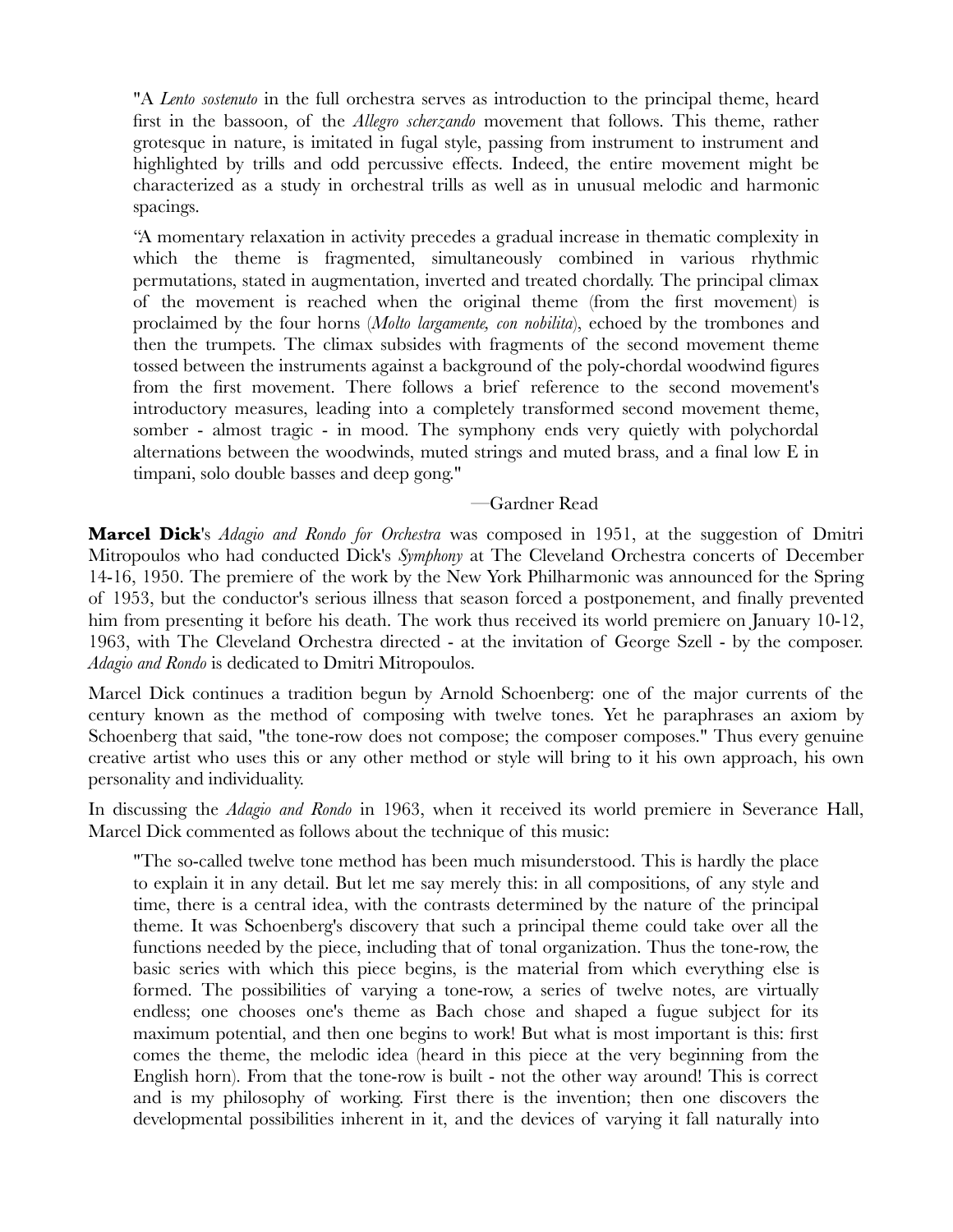"A *Lento sostenuto* in the full orchestra serves as introduction to the principal theme, heard first in the bassoon, of the *Allegro scherzando* movement that follows. This theme, rather grotesque in nature, is imitated in fugal style, passing from instrument to instrument and highlighted by trills and odd percussive effects. Indeed, the entire movement might be characterized as a study in orchestral trills as well as in unusual melodic and harmonic spacings.

"A momentary relaxation in activity precedes a gradual increase in thematic complexity in which the theme is fragmented, simultaneously combined in various rhythmic permutations, stated in augmentation, inverted and treated chordally. The principal climax of the movement is reached when the original theme (from the first movement) is proclaimed by the four horns (*Molto largamente, con nobilita*), echoed by the trombones and then the trumpets. The climax subsides with fragments of the second movement theme tossed between the instruments against a background of the poly-chordal woodwind figures from the first movement. There follows a brief reference to the second movement's introductory measures, leading into a completely transformed second movement theme, somber - almost tragic - in mood. The symphony ends very quietly with polychordal alternations between the woodwinds, muted strings and muted brass, and a final low E in timpani, solo double basses and deep gong."

## —Gardner Read

**Marcel Dick**'s *Adagio and Rondo for Orchestra* was composed in 1951, at the suggestion of Dmitri Mitropoulos who had conducted Dick's *Symphony* at The Cleveland Orchestra concerts of December 14-16, 1950. The premiere of the work by the New York Philharmonic was announced for the Spring of 1953, but the conductor's serious illness that season forced a postponement, and finally prevented him from presenting it before his death. The work thus received its world premiere on January 10-12, 1963, with The Cleveland Orchestra directed - at the invitation of George Szell - by the composer. *Adagio and Rondo* is dedicated to Dmitri Mitropoulos.

Marcel Dick continues a tradition begun by Arnold Schoenberg: one of the major currents of the century known as the method of composing with twelve tones. Yet he paraphrases an axiom by Schoenberg that said, "the tone-row does not compose; the composer composes." Thus every genuine creative artist who uses this or any other method or style will bring to it his own approach, his own personality and individuality.

In discussing the *Adagio and Rondo* in 1963, when it received its world premiere in Severance Hall, Marcel Dick commented as follows about the technique of this music:

"The so-called twelve tone method has been much misunderstood. This is hardly the place to explain it in any detail. But let me say merely this: in all compositions, of any style and time, there is a central idea, with the contrasts determined by the nature of the principal theme. It was Schoenberg's discovery that such a principal theme could take over all the functions needed by the piece, including that of tonal organization. Thus the tone-row, the basic series with which this piece begins, is the material from which everything else is formed. The possibilities of varying a tone-row, a series of twelve notes, are virtually endless; one chooses one's theme as Bach chose and shaped a fugue subject for its maximum potential, and then one begins to work! But what is most important is this: first comes the theme, the melodic idea (heard in this piece at the very beginning from the English horn). From that the tone-row is built - not the other way around! This is correct and is my philosophy of working. First there is the invention; then one discovers the developmental possibilities inherent in it, and the devices of varying it fall naturally into